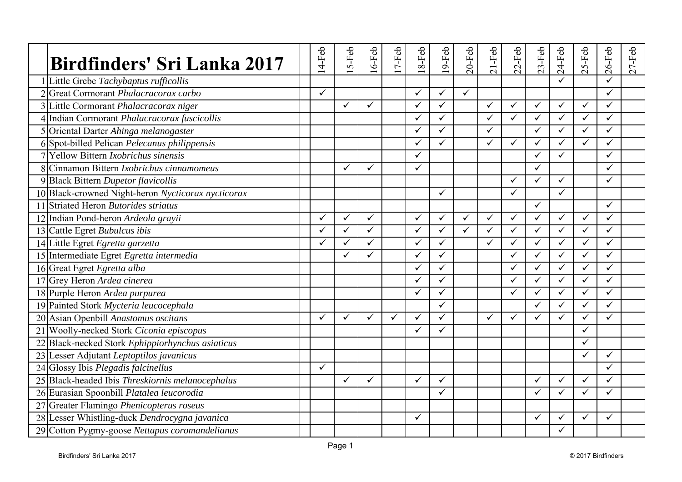| <b>Birdfinders' Sri Lanka 2017</b>                 | 4-Feb        | $5-Feb$      | $6-Feb$      | 7-Feb | 8-Feb<br>$\overline{\phantom{0}}$ | 9-Feb<br>$\overline{\phantom{0}}$ | $20$ -Feb    | $21-Feb$     | $22-Feb$     | $23-Feb$     | $24-Feb$     | 5-Feb<br>$\sim$ | $26$ -Feb    | $27-Feb$ |
|----------------------------------------------------|--------------|--------------|--------------|-------|-----------------------------------|-----------------------------------|--------------|--------------|--------------|--------------|--------------|-----------------|--------------|----------|
| Little Grebe Tachybaptus rufficollis               |              |              |              |       |                                   |                                   |              |              |              |              |              |                 |              |          |
| 2 Great Cormorant Phalacracorax carbo              | $\checkmark$ |              |              |       | $\checkmark$                      | $\checkmark$                      | $\checkmark$ |              |              |              |              |                 | $\checkmark$ |          |
| 3 Little Cormorant Phalacracorax niger             |              | ✓            | $\checkmark$ |       | $\checkmark$                      | $\checkmark$                      |              | $\checkmark$ | ✓            | ✓            | ✓            | $\checkmark$    | $\checkmark$ |          |
| 4 Indian Cormorant Phalacracorax fuscicollis       |              |              |              |       | $\checkmark$                      | $\checkmark$                      |              | ✓            | $\checkmark$ | ✓            | $\checkmark$ | $\checkmark$    | $\checkmark$ |          |
| 5 Oriental Darter Ahinga melanogaster              |              |              |              |       | $\checkmark$                      | $\overline{\checkmark}$           |              | $\checkmark$ |              | $\checkmark$ | $\checkmark$ | $\checkmark$    | ✓            |          |
| 6 Spot-billed Pelican Pelecanus philippensis       |              |              |              |       | $\checkmark$                      | $\checkmark$                      |              | ✓            | $\checkmark$ | ✓            | $\checkmark$ | $\checkmark$    | $\checkmark$ |          |
| 7 Yellow Bittern <i>Ixobrichus sinensis</i>        |              |              |              |       | $\checkmark$                      |                                   |              |              |              | ✓            | $\checkmark$ |                 | $\checkmark$ |          |
| 8 Cinnamon Bittern <i>Ixobrichus cinnamomeus</i>   |              | ✓            | $\checkmark$ |       | $\checkmark$                      |                                   |              |              |              | ✓            |              |                 | ✓            |          |
| 9 Black Bittern Dupetor flavicollis                |              |              |              |       |                                   |                                   |              |              | $\checkmark$ | $\checkmark$ | ✓            |                 | $\checkmark$ |          |
| 10 Black-crowned Night-heron Nycticorax nycticorax |              |              |              |       |                                   | ✓                                 |              |              | $\checkmark$ |              | $\checkmark$ |                 |              |          |
| 11 Striated Heron Butorides striatus               |              |              |              |       |                                   |                                   |              |              |              | ✓            |              |                 | ✓            |          |
| 12 Indian Pond-heron Ardeola grayii                | ✓            | ✓            | $\checkmark$ |       | $\checkmark$                      | $\checkmark$                      | ✓            | $\checkmark$ | ✓            | $\checkmark$ | $\checkmark$ | ✓               | ✓            |          |
| 13 Cattle Egret Bubulcus ibis                      | ✓            | ✓            | $\checkmark$ |       | $\checkmark$                      | $\checkmark$                      | $\checkmark$ | $\checkmark$ | $\checkmark$ | $\checkmark$ | $\checkmark$ | $\checkmark$    | ✓            |          |
| 14 Little Egret Egretta garzetta                   | $\checkmark$ | $\checkmark$ | $\checkmark$ |       | $\checkmark$                      | $\checkmark$                      |              | $\checkmark$ | $\checkmark$ | $\checkmark$ | $\checkmark$ | $\checkmark$    | $\checkmark$ |          |
| 15 Intermediate Egret Egretta intermedia           |              | ✓            | ✓            |       | $\checkmark$                      | $\checkmark$                      |              |              | ✓            | ✓            | ✓            | $\checkmark$    | ✓            |          |
| 16 Great Egret Egretta alba                        |              |              |              |       | $\checkmark$                      | $\checkmark$                      |              |              | $\checkmark$ | $\checkmark$ | $\checkmark$ | $\checkmark$    | $\checkmark$ |          |
| 17 Grey Heron Ardea cinerea                        |              |              |              |       | $\checkmark$                      | ✓                                 |              |              | ✓            | ✓            | ✓            | $\checkmark$    | ✓            |          |
| 18 Purple Heron Ardea purpurea                     |              |              |              |       | $\checkmark$                      | ✓                                 |              |              | ✓            | ✓            | $\checkmark$ | ✓               | ✓            |          |
| 19 Painted Stork Mycteria leucocephala             |              |              |              |       |                                   | $\checkmark$                      |              |              |              | $\checkmark$ | $\checkmark$ |                 | ✓            |          |
| 20 Asian Openbill Anastomus oscitans               | ✓            | ✓            | $\checkmark$ | ✓     | $\checkmark$                      | $\checkmark$                      |              | $\checkmark$ | ✓            | ✓            | ✓            | ✓               | ✓            |          |
| 21 Woolly-necked Stork Ciconia episcopus           |              |              |              |       | $\checkmark$                      | $\checkmark$                      |              |              |              |              |              | $\checkmark$    |              |          |
| 22 Black-necked Stork Ephippiorhynchus asiaticus   |              |              |              |       |                                   |                                   |              |              |              |              |              | ✓               |              |          |
| 23 Lesser Adjutant Leptoptilos javanicus           |              |              |              |       |                                   |                                   |              |              |              |              |              |                 | ✓            |          |
| 24 Glossy Ibis Plegadis falcinellus                | $\checkmark$ |              |              |       |                                   |                                   |              |              |              |              |              |                 | ✓            |          |
| 25 Black-headed Ibis Threskiornis melanocephalus   |              | $\checkmark$ | $\checkmark$ |       | $\checkmark$                      | $\checkmark$                      |              |              |              | $\checkmark$ | $\checkmark$ | $\checkmark$    | $\checkmark$ |          |
| 26 Eurasian Spoonbill Platalea leucorodia          |              |              |              |       |                                   | ✓                                 |              |              |              | $\checkmark$ | ✓            | ✓               | ✓            |          |
| 27 Greater Flamingo Phenicopterus roseus           |              |              |              |       |                                   |                                   |              |              |              |              |              |                 |              |          |
| 28 Lesser Whistling-duck Dendrocygna javanica      |              |              |              |       | $\checkmark$                      |                                   |              |              |              | ✓            | ✓            | $\checkmark$    | ✓            |          |
| 29 Cotton Pygmy-goose Nettapus coromandelianus     |              |              |              |       |                                   |                                   |              |              |              |              | ✓            |                 |              |          |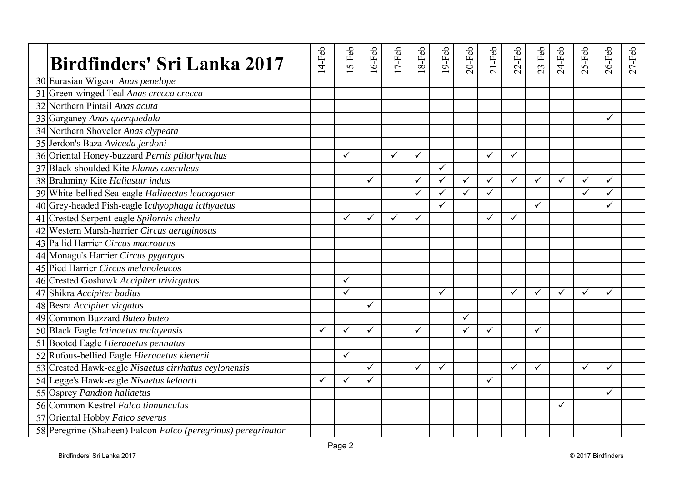| Birdfinders' Sri Lanka 2017                                   | $14-Feb$     | $5-Feb$      | $16-Feb$     | $17-Feb$     | $18-Feb$     | $19$ -Feb    | $20$ -Feb    | $21-Feb$     | $22-Feb$     | $23-Feb$     | $24-Feb$ | $25-Feb$     | $26$ -Feb    | $27-Feb$ |
|---------------------------------------------------------------|--------------|--------------|--------------|--------------|--------------|--------------|--------------|--------------|--------------|--------------|----------|--------------|--------------|----------|
| 30 Eurasian Wigeon Anas penelope                              |              |              |              |              |              |              |              |              |              |              |          |              |              |          |
| 31 Green-winged Teal Anas crecca crecca                       |              |              |              |              |              |              |              |              |              |              |          |              |              |          |
| 32 Northern Pintail Anas acuta                                |              |              |              |              |              |              |              |              |              |              |          |              |              |          |
| 33 Garganey Anas querquedula                                  |              |              |              |              |              |              |              |              |              |              |          |              | $\checkmark$ |          |
| 34 Northern Shoveler Anas clypeata                            |              |              |              |              |              |              |              |              |              |              |          |              |              |          |
| 35 Jerdon's Baza Aviceda jerdoni                              |              |              |              |              |              |              |              |              |              |              |          |              |              |          |
| 36 Oriental Honey-buzzard Pernis ptilorhynchus                |              | $\checkmark$ |              | $\checkmark$ | $\checkmark$ |              |              | $\checkmark$ | $\checkmark$ |              |          |              |              |          |
| 37 Black-shoulded Kite Elanus caeruleus                       |              |              |              |              |              | $\checkmark$ |              |              |              |              |          |              |              |          |
| 38 Brahminy Kite Haliastur indus                              |              |              | $\checkmark$ |              | $\checkmark$ | $\checkmark$ | ✓            | ✓            | ✓            | $\checkmark$ | ✓        |              | ✓            |          |
| 39 White-bellied Sea-eagle Haliaeetus leucogaster             |              |              |              |              | $\checkmark$ | $\checkmark$ | ✓            | $\checkmark$ |              |              |          |              | ✓            |          |
| 40 Grey-headed Fish-eagle Icthyophaga icthyaetus              |              |              |              |              |              | $\checkmark$ |              |              |              | $\checkmark$ |          |              | ✓            |          |
| 41 Crested Serpent-eagle Spilornis cheela                     |              | ✓            | ✓            | ✓            | $\checkmark$ |              |              | ✓            | ✓            |              |          |              |              |          |
| 42 Western Marsh-harrier Circus aeruginosus                   |              |              |              |              |              |              |              |              |              |              |          |              |              |          |
| 43 Pallid Harrier Circus macrourus                            |              |              |              |              |              |              |              |              |              |              |          |              |              |          |
| 44 Monagu's Harrier Circus pygargus                           |              |              |              |              |              |              |              |              |              |              |          |              |              |          |
| 45 Pied Harrier Circus melanoleucos                           |              |              |              |              |              |              |              |              |              |              |          |              |              |          |
| 46 Crested Goshawk Accipiter trivirgatus                      |              | $\checkmark$ |              |              |              |              |              |              |              |              |          |              |              |          |
| 47 Shikra Accipiter badius                                    |              | $\checkmark$ |              |              |              | $\checkmark$ |              |              | $\checkmark$ | $\checkmark$ | ✓        | $\checkmark$ | ✓            |          |
| 48 Besra Accipiter virgatus                                   |              |              | $\checkmark$ |              |              |              |              |              |              |              |          |              |              |          |
| 49 Common Buzzard Buteo buteo                                 |              |              |              |              |              |              | $\checkmark$ |              |              |              |          |              |              |          |
| 50 Black Eagle Ictinaetus malayensis                          | ✓            | ✓            | $\checkmark$ |              | $\checkmark$ |              | ✓            | ✓            |              | $\checkmark$ |          |              |              |          |
| 51 Booted Eagle Hieraaetus pennatus                           |              |              |              |              |              |              |              |              |              |              |          |              |              |          |
| 52 Rufous-bellied Eagle Hieraaetus kienerii                   |              | ✓            |              |              |              |              |              |              |              |              |          |              |              |          |
| 53 Crested Hawk-eagle Nisaetus cirrhatus ceylonensis          |              |              | ✓            |              | $\checkmark$ | $\checkmark$ |              |              | $\checkmark$ | $\checkmark$ |          | ✓            | $\checkmark$ |          |
| 54 Legge's Hawk-eagle Nisaetus kelaarti                       | $\checkmark$ | $\checkmark$ | $\checkmark$ |              |              |              |              | $\checkmark$ |              |              |          |              |              |          |
| 55 Osprey Pandion haliaetus                                   |              |              |              |              |              |              |              |              |              |              |          |              | ✓            |          |
| 56 Common Kestrel Falco tinnunculus                           |              |              |              |              |              |              |              |              |              |              | ✓        |              |              |          |
| 57 Oriental Hobby Falco severus                               |              |              |              |              |              |              |              |              |              |              |          |              |              |          |
| 58 Peregrine (Shaheen) Falcon Falco (peregrinus) peregrinator |              |              |              |              |              |              |              |              |              |              |          |              |              |          |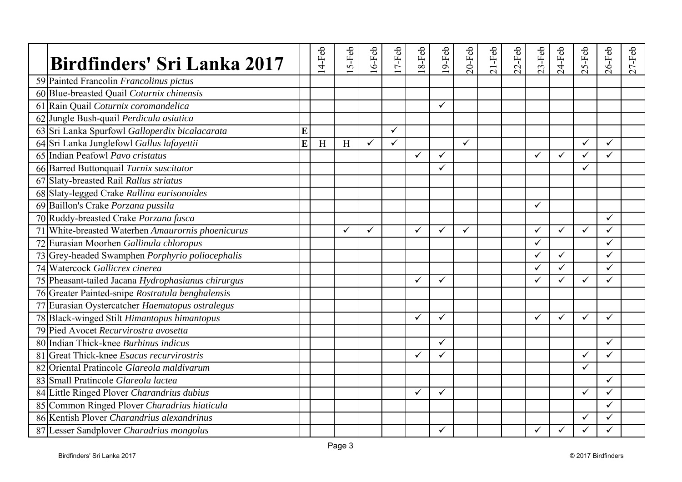| Birdfinders' Sri Lanka 2017                        |   | $14-Feb$ | $5-Feb$ | $6-Feb$      | $7-Feb$      | 8-Feb | 9-Feb        | $20$ -Feb | $21-Feb$ | $22-Feb$ | $23-Feb$     | $24-Feb$     | S-Feb<br>$\sim$ | $26$ -Feb    | $27-Feb$ |
|----------------------------------------------------|---|----------|---------|--------------|--------------|-------|--------------|-----------|----------|----------|--------------|--------------|-----------------|--------------|----------|
| 59 Painted Francolin Francolinus pictus            |   |          |         |              |              |       |              |           |          |          |              |              |                 |              |          |
| 60 Blue-breasted Quail Coturnix chinensis          |   |          |         |              |              |       |              |           |          |          |              |              |                 |              |          |
| 61 Rain Quail Coturnix coromandelica               |   |          |         |              |              |       | $\checkmark$ |           |          |          |              |              |                 |              |          |
| 62 Jungle Bush-quail Perdicula asiatica            |   |          |         |              |              |       |              |           |          |          |              |              |                 |              |          |
| 63 Sri Lanka Spurfowl Galloperdix bicalacarata     | E |          |         |              | $\checkmark$ |       |              |           |          |          |              |              |                 |              |          |
| 64 Sri Lanka Junglefowl Gallus lafayettii          | E | H        | H       | $\checkmark$ | $\checkmark$ |       |              | ✓         |          |          |              |              | ✓               | $\checkmark$ |          |
| 65 Indian Peafowl Pavo cristatus                   |   |          |         |              |              | ✓     | $\checkmark$ |           |          |          | $\checkmark$ | $\checkmark$ | ✓               | $\checkmark$ |          |
| 66 Barred Buttonquail Turnix suscitator            |   |          |         |              |              |       | $\checkmark$ |           |          |          |              |              | ✓               |              |          |
| 67 Slaty-breasted Rail Rallus striatus             |   |          |         |              |              |       |              |           |          |          |              |              |                 |              |          |
| 68 Slaty-legged Crake Rallina eurisonoides         |   |          |         |              |              |       |              |           |          |          |              |              |                 |              |          |
| 69 Baillon's Crake Porzana pussila                 |   |          |         |              |              |       |              |           |          |          | $\checkmark$ |              |                 |              |          |
| 70 Ruddy-breasted Crake Porzana fusca              |   |          |         |              |              |       |              |           |          |          |              |              |                 | $\checkmark$ |          |
| 71 White-breasted Waterhen Amaurornis phoenicurus  |   |          | ✓       | ✓            |              | ✓     | $\checkmark$ | ✓         |          |          | $\checkmark$ | $\checkmark$ | ✓               | $\checkmark$ |          |
| 72 Eurasian Moorhen Gallinula chloropus            |   |          |         |              |              |       |              |           |          |          | $\checkmark$ |              |                 | $\checkmark$ |          |
| 73 Grey-headed Swamphen Porphyrio poliocephalis    |   |          |         |              |              |       |              |           |          |          | $\checkmark$ | $\checkmark$ |                 | ✓            |          |
| 74 Watercock Gallicrex cinerea                     |   |          |         |              |              |       |              |           |          |          | $\checkmark$ | $\checkmark$ |                 | ✓            |          |
| 75 Pheasant-tailed Jacana Hydrophasianus chirurgus |   |          |         |              |              | ✓     | $\checkmark$ |           |          |          | $\checkmark$ | ✓            | ✓               | ✓            |          |
| 76 Greater Painted-snipe Rostratula benghalensis   |   |          |         |              |              |       |              |           |          |          |              |              |                 |              |          |
| 77 Eurasian Oystercatcher Haematopus ostralegus    |   |          |         |              |              |       |              |           |          |          |              |              |                 |              |          |
| 78 Black-winged Stilt Himantopus himantopus        |   |          |         |              |              | ✓     | $\checkmark$ |           |          |          | $\checkmark$ | $\checkmark$ | ✓               | $\checkmark$ |          |
| 79 Pied Avocet Recurvirostra avosetta              |   |          |         |              |              |       |              |           |          |          |              |              |                 |              |          |
| 80 Indian Thick-knee Burhinus indicus              |   |          |         |              |              |       | ✓            |           |          |          |              |              |                 | $\checkmark$ |          |
| 81 Great Thick-knee Esacus recurvirostris          |   |          |         |              |              | ✓     | ✓            |           |          |          |              |              | ✓               | $\checkmark$ |          |
| 82 Oriental Pratincole Glareola maldivarum         |   |          |         |              |              |       |              |           |          |          |              |              | ✓               |              |          |
| 83 Small Pratincole Glareola lacted                |   |          |         |              |              |       |              |           |          |          |              |              |                 | $\checkmark$ |          |
| 84 Little Ringed Plover Charandrius dubius         |   |          |         |              |              | ✓     | ✓            |           |          |          |              |              | ✓               | ✓            |          |
| 85 Common Ringed Plover Charadrius hiaticula       |   |          |         |              |              |       |              |           |          |          |              |              |                 | ✓            |          |
| 86 Kentish Plover Charandrius alexandrinus         |   |          |         |              |              |       |              |           |          |          |              |              | ✓               | ✓            |          |
| 87 Lesser Sandplover Charadrius mongolus           |   |          |         |              |              |       | ✓            |           |          |          | ✓            | ✓            |                 |              |          |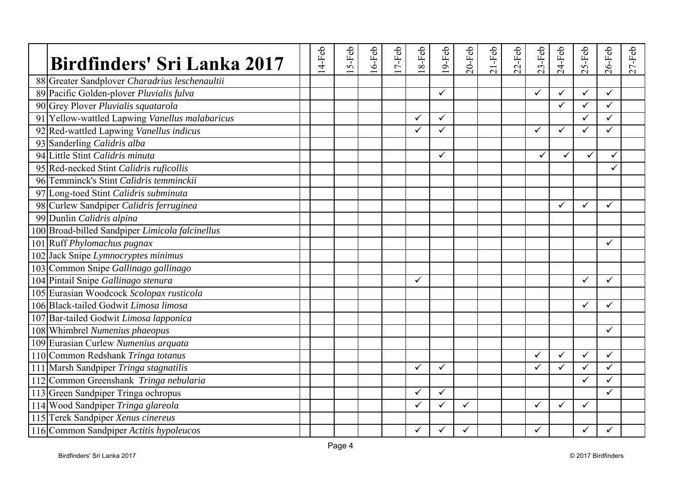| <b>Birdfinders' Sri Lanka 2017</b>              | $14-Feb$ | $5-Feb$ | $6-Feb$ | $7-Feb$ | 8-Feb        | $9-Feb$      | $20$ -Feb | $21-Feb$ | $22-Feb$ | $23-Feb$     | $24-Feb$     | S-Feb<br>$\sim$ | $26$ -Feb    | $27-Feb$ |
|-------------------------------------------------|----------|---------|---------|---------|--------------|--------------|-----------|----------|----------|--------------|--------------|-----------------|--------------|----------|
| 88 Greater Sandplover Charadrius leschenaultii  |          |         |         |         |              |              |           |          |          |              |              |                 |              |          |
| 89 Pacific Golden-plover Pluvialis fulva        |          |         |         |         |              | $\checkmark$ |           |          |          | $\checkmark$ | $\checkmark$ | $\checkmark$    | $\checkmark$ |          |
| 90 Grey Plover Pluvialis squatarola             |          |         |         |         |              |              |           |          |          |              | ✓            | ✓               | $\checkmark$ |          |
| 91 Yellow-wattled Lapwing Vanellus malabaricus  |          |         |         |         | ✓            | $\checkmark$ |           |          |          |              |              | ✓               | $\checkmark$ |          |
| 92 Red-wattled Lapwing Vanellus indicus         |          |         |         |         | ✓            | $\checkmark$ |           |          |          | ✓            | $\checkmark$ | ✓               | $\checkmark$ |          |
| 93 Sanderling Calidris alba                     |          |         |         |         |              |              |           |          |          |              |              |                 |              |          |
| 94 Little Stint Calidris minuta                 |          |         |         |         |              | $\checkmark$ |           |          |          | $\checkmark$ | ✓            | $\checkmark$    | ✓            |          |
| 95 Red-necked Stint Calidris ruficollis         |          |         |         |         |              |              |           |          |          |              |              |                 |              |          |
| 96 Temminck's Stint Calidris temminckii         |          |         |         |         |              |              |           |          |          |              |              |                 |              |          |
| 97 Long-toed Stint Calidris subminuta           |          |         |         |         |              |              |           |          |          |              |              |                 |              |          |
| 98 Curlew Sandpiper Calidris ferruginea         |          |         |         |         |              |              |           |          |          |              | $\checkmark$ | ✓               | $\checkmark$ |          |
| 99 Dunlin Calidris alpina                       |          |         |         |         |              |              |           |          |          |              |              |                 |              |          |
| 100 Broad-billed Sandpiper Limicola falcinellus |          |         |         |         |              |              |           |          |          |              |              |                 |              |          |
| 101 Ruff Phylomachus pugnax                     |          |         |         |         |              |              |           |          |          |              |              |                 | $\checkmark$ |          |
| 102 Jack Snipe Lymnocryptes minimus             |          |         |         |         |              |              |           |          |          |              |              |                 |              |          |
| 103 Common Snipe Gallinago gallinago            |          |         |         |         |              |              |           |          |          |              |              |                 |              |          |
| 104 Pintail Snipe Gallinago stenura             |          |         |         |         | ✓            |              |           |          |          |              |              | ✓               | $\checkmark$ |          |
| 105 Eurasian Woodcock Scolopax rusticola        |          |         |         |         |              |              |           |          |          |              |              |                 |              |          |
| 106 Black-tailed Godwit Limosa limosa           |          |         |         |         |              |              |           |          |          |              |              | ✓               | $\checkmark$ |          |
| 107 Bar-tailed Godwit Limosa lapponica          |          |         |         |         |              |              |           |          |          |              |              |                 |              |          |
| 108 Whimbrel Numenius phaeopus                  |          |         |         |         |              |              |           |          |          |              |              |                 | ✓            |          |
| 109 Eurasian Curlew Numenius arquata            |          |         |         |         |              |              |           |          |          |              |              |                 |              |          |
| 110 Common Redshank Tringa totanus              |          |         |         |         |              |              |           |          |          |              | ✓            | ✓               | $\checkmark$ |          |
| 111 Marsh Sandpiper Tringa stagnatilis          |          |         |         |         | $\checkmark$ | $\checkmark$ |           |          |          | $\checkmark$ | ✓            |                 | $\checkmark$ |          |
| 112 Common Greenshank Tringa nebularia          |          |         |         |         |              |              |           |          |          |              |              | ✓               | ✓            |          |
| 113 Green Sandpiper Tringa ochropus             |          |         |         |         | ✓            | ✓            |           |          |          |              |              |                 | ✓            |          |
| 114 Wood Sandpiper Tringa glareola              |          |         |         |         | ✓            | $\checkmark$ |           |          |          | ✓            | $\checkmark$ | $\checkmark$    |              |          |
| 115 Terek Sandpiper Xenus cinereus              |          |         |         |         |              |              |           |          |          |              |              |                 |              |          |
| 116 Common Sandpiper Actitis hypoleucos         |          |         |         |         |              | ✓            |           |          |          | ✓            |              | ✓               | ✓            |          |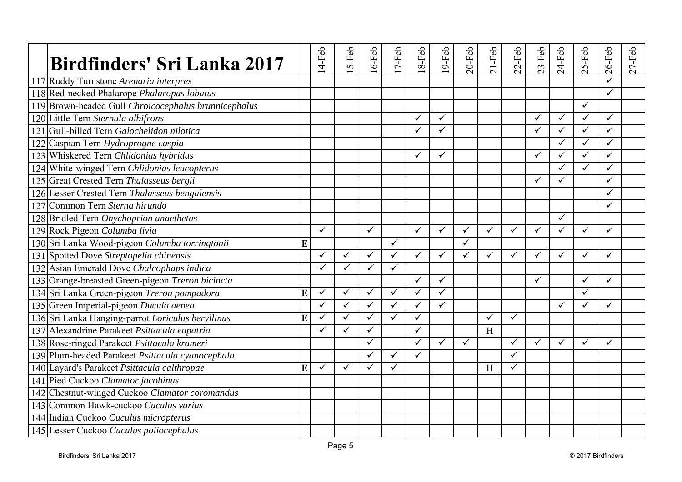| Birdfinders' Sri Lanka 2017                          |   | 4-Feb        | $5-Feb$      | $6-Feb$      | $7-Feb$      | 8-Feb        | $9-Feb$      | $20$ -Feb    | $21-Feb$     | $22-Feb$     | $23-Feb$     | $24-Feb$     | $25-Feb$     | $26$ -Feb    | $27-Feb$ |
|------------------------------------------------------|---|--------------|--------------|--------------|--------------|--------------|--------------|--------------|--------------|--------------|--------------|--------------|--------------|--------------|----------|
| 117 Ruddy Turnstone Arenaria interpres               |   |              |              |              |              |              |              |              |              |              |              |              |              |              |          |
| 118 Red-necked Phalarope Phalaropus lobatus          |   |              |              |              |              |              |              |              |              |              |              |              |              | $\checkmark$ |          |
| 119 Brown-headed Gull Chroicocephalus brunnicephalus |   |              |              |              |              |              |              |              |              |              |              |              | $\checkmark$ |              |          |
| 120 Little Tern Sternula albifrons                   |   |              |              |              |              | ✓            | $\checkmark$ |              |              |              | $\checkmark$ | ✓            | $\checkmark$ | $\checkmark$ |          |
| 121 Gull-billed Tern Galochelidon nilotica           |   |              |              |              |              | ✓            | ✓            |              |              |              | $\checkmark$ | $\checkmark$ | ✓            | $\checkmark$ |          |
| 122 Caspian Tern Hydroprogne caspia                  |   |              |              |              |              |              |              |              |              |              |              | ✓            | $\checkmark$ | $\checkmark$ |          |
| 123 Whiskered Tern Chlidonias hybridus               |   |              |              |              |              | ✓            | ✓            |              |              |              | $\checkmark$ | ✓            | $\checkmark$ | $\checkmark$ |          |
| 124 White-winged Tern Chlidonias leucopterus         |   |              |              |              |              |              |              |              |              |              |              | $\checkmark$ | ✓            | $\checkmark$ |          |
| 125 Great Crested Tern Thalasseus bergii             |   |              |              |              |              |              |              |              |              |              | $\checkmark$ | ✓            |              | $\checkmark$ |          |
| 126 Lesser Crested Tern Thalasseus bengalensis       |   |              |              |              |              |              |              |              |              |              |              |              |              | ✓            |          |
| 127 Common Tern Sterna hirundo                       |   |              |              |              |              |              |              |              |              |              |              |              |              | ✓            |          |
| 128 Bridled Tern Onychoprion anaethetus              |   |              |              |              |              |              |              |              |              |              |              | ✓            |              |              |          |
| 129 Rock Pigeon Columba livia                        |   | ✓            |              | ✓            |              | $\checkmark$ | $\checkmark$ | $\checkmark$ | $\checkmark$ | $\checkmark$ | $\checkmark$ | ✓            | ✓            | ✓            |          |
| 130 Sri Lanka Wood-pigeon Columba torringtonii       | E |              |              |              | $\checkmark$ |              |              | $\checkmark$ |              |              |              |              |              |              |          |
| 131 Spotted Dove Streptopelia chinensis              |   | ✓            | ✓            | $\checkmark$ | $\checkmark$ | ✓            | ✓            | $\checkmark$ | ✓            | ✓            | $\checkmark$ | ✓            | ✓            | ✓            |          |
| 132 Asian Emerald Dove Chalcophaps indica            |   | ✓            | ✓            | ✓            | $\checkmark$ |              |              |              |              |              |              |              |              |              |          |
| 133 Orange-breasted Green-pigeon Treron bicincta     |   |              |              |              |              | ✓            | ✓            |              |              |              | $\checkmark$ |              | $\checkmark$ | $\checkmark$ |          |
| 134 Sri Lanka Green-pigeon Treron pompadora          | E | $\checkmark$ | $\checkmark$ | ✓            | $\checkmark$ | $\checkmark$ | $\checkmark$ |              |              |              |              |              | ✓            |              |          |
| 135 Green Imperial-pigeon Ducula aenea               |   | ✓            | $\checkmark$ | ✓            | $\checkmark$ | ✓            | ✓            |              |              |              |              | ✓            | ✓            | ✓            |          |
| 136 Sri Lanka Hanging-parrot Loriculus beryllinus    | E | ✓            | ✓            | ✓            | $\checkmark$ | $\checkmark$ |              |              |              | ✓            |              |              |              |              |          |
| 137 Alexandrine Parakeet Psittacula eupatria         |   | ✓            | ✓            | $\checkmark$ |              | $\checkmark$ |              |              | H            |              |              |              |              |              |          |
| 138 Rose-ringed Parakeet Psittacula krameri          |   |              |              | ✓            |              | $\checkmark$ | ✓            | $\checkmark$ |              | ✓            | ✓            | $\checkmark$ | ✓            | ✓            |          |
| 139 Plum-headed Parakeet Psittacula cyanocephala     |   |              |              |              | $\checkmark$ | ✓            |              |              |              | ✓            |              |              |              |              |          |
| 140 Layard's Parakeet Psittacula calthropae          | E | $\checkmark$ | ✓            | ✓            | $\checkmark$ |              |              |              | H            | $\checkmark$ |              |              |              |              |          |
| 141 Pied Cuckoo Clamator jacobinus                   |   |              |              |              |              |              |              |              |              |              |              |              |              |              |          |
| 142 Chestnut-winged Cuckoo Clamator coromandus       |   |              |              |              |              |              |              |              |              |              |              |              |              |              |          |
| 143 Common Hawk-cuckoo Cuculus varius                |   |              |              |              |              |              |              |              |              |              |              |              |              |              |          |
| 144 Indian Cuckoo Cuculus micropterus                |   |              |              |              |              |              |              |              |              |              |              |              |              |              |          |
| 145 Lesser Cuckoo Cuculus poliocephalus              |   |              |              |              |              |              |              |              |              |              |              |              |              |              |          |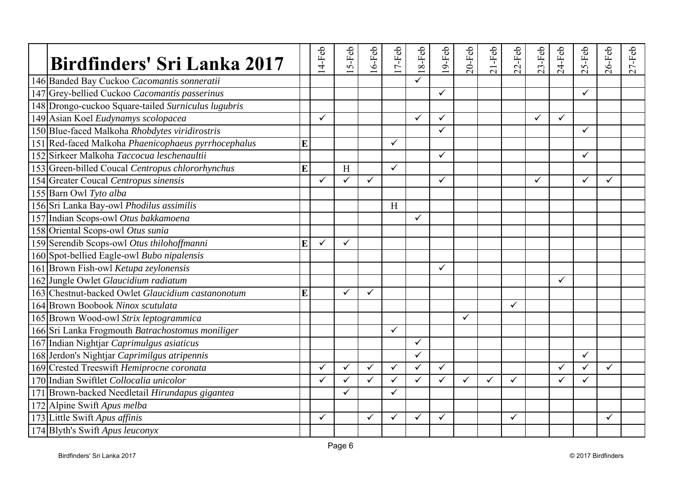| <b>Birdfinders' Sri Lanka 2017</b>                  |   | $14-Feb$     | $5-Feb$      | $16$ -Feb    | 7-Feb        | $18-Feb$     | 9-Feb        | $20$ -Feb    | $21-Feb$     | $22-Feb$ | $23-Feb$     | $24-Feb$     | $25-Feb$     | $26$ -Feb | $27-Feb$ |
|-----------------------------------------------------|---|--------------|--------------|--------------|--------------|--------------|--------------|--------------|--------------|----------|--------------|--------------|--------------|-----------|----------|
| 146 Banded Bay Cuckoo Cacomantis sonneratii         |   |              |              |              |              | ✓            |              |              |              |          |              |              |              |           |          |
| 147 Grey-bellied Cuckoo Cacomantis passerinus       |   |              |              |              |              |              | $\checkmark$ |              |              |          |              |              |              |           |          |
| 148 Drongo-cuckoo Square-tailed Surniculus lugubris |   |              |              |              |              |              |              |              |              |          |              |              |              |           |          |
| 149 Asian Koel Eudynamys scolopacea                 |   | ✓            |              |              |              | $\checkmark$ | ✓            |              |              |          | $\checkmark$ | ✓            |              |           |          |
| 150 Blue-faced Malkoha Rhobdytes viridirostris      |   |              |              |              |              |              | ✓            |              |              |          |              |              | ✓            |           |          |
| 151 Red-faced Malkoha Phaenicophaeus pyrrhocephalus | E |              |              |              | $\checkmark$ |              |              |              |              |          |              |              |              |           |          |
| 152 Sirkeer Malkoha Taccocua leschenaultii          |   |              |              |              |              |              | $\checkmark$ |              |              |          |              |              | ✓            |           |          |
| 153 Green-billed Coucal Centropus chlororhynchus    | E |              | H            |              | $\checkmark$ |              |              |              |              |          |              |              |              |           |          |
| 154 Greater Coucal Centropus sinensis               |   | ✓            | $\checkmark$ | $\checkmark$ |              |              | $\checkmark$ |              |              |          | $\checkmark$ |              | ✓            | ✓         |          |
| 155 Barn Owl Tyto alba                              |   |              |              |              |              |              |              |              |              |          |              |              |              |           |          |
| 156 Sri Lanka Bay-owl Phodilus assimilis            |   |              |              |              | H            |              |              |              |              |          |              |              |              |           |          |
| 157 Indian Scops-owl Otus bakkamoena                |   |              |              |              |              | ✓            |              |              |              |          |              |              |              |           |          |
| 158 Oriental Scops-owl Otus sunia                   |   |              |              |              |              |              |              |              |              |          |              |              |              |           |          |
| 159 Serendib Scops-owl Otus thilohoffmanni          | E | $\checkmark$ | $\checkmark$ |              |              |              |              |              |              |          |              |              |              |           |          |
| 160 Spot-bellied Eagle-owl Bubo nipalensis          |   |              |              |              |              |              |              |              |              |          |              |              |              |           |          |
| 161 Brown Fish-owl Ketupa zeylonensis               |   |              |              |              |              |              | ✓            |              |              |          |              |              |              |           |          |
| 162 Jungle Owlet Glaucidium radiatum                |   |              |              |              |              |              |              |              |              |          |              | ✓            |              |           |          |
| 163 Chestnut-backed Owlet Glaucidium castanonotum   | E |              | $\checkmark$ | ✓            |              |              |              |              |              |          |              |              |              |           |          |
| 164 Brown Boobook Ninox scutulata                   |   |              |              |              |              |              |              |              |              | ✓        |              |              |              |           |          |
| 165 Brown Wood-owl Strix leptogrammica              |   |              |              |              |              |              |              | ✓            |              |          |              |              |              |           |          |
| 166 Sri Lanka Frogmouth Batrachostomus moniliger    |   |              |              |              | $\checkmark$ |              |              |              |              |          |              |              |              |           |          |
| 167 Indian Nightjar Caprimulgus asiaticus           |   |              |              |              |              | $\checkmark$ |              |              |              |          |              |              |              |           |          |
| 168 Jerdon's Nightjar Caprimilgus atripennis        |   |              |              |              |              | $\checkmark$ |              |              |              |          |              |              | ✓            |           |          |
| 169 Crested Treeswift Hemiprocne coronata           |   | ✓            | ✓            | $\checkmark$ | $\checkmark$ | $\checkmark$ | ✓            |              |              |          |              | ✓            | ✓            | ✓         |          |
| 170 Indian Swiftlet Collocalia unicolor             |   | $\checkmark$ | $\checkmark$ | ✓            | $\checkmark$ | $\checkmark$ | $\checkmark$ | $\checkmark$ | $\checkmark$ | ✓        |              | $\checkmark$ | $\checkmark$ |           |          |
| 171 Brown-backed Needletail Hirundapus gigantea     |   |              | ✓            |              | ✓            |              |              |              |              |          |              |              |              |           |          |
| 172 Alpine Swift Apus melba                         |   |              |              |              |              |              |              |              |              |          |              |              |              |           |          |
| 173 Little Swift Apus affinis                       |   | ✓            |              | ✓            | ✓            | ✓            | ✓            |              |              | ✓        |              |              |              | ✓         |          |
| 174 Blyth's Swift Apus leuconyx                     |   |              |              |              |              |              |              |              |              |          |              |              |              |           |          |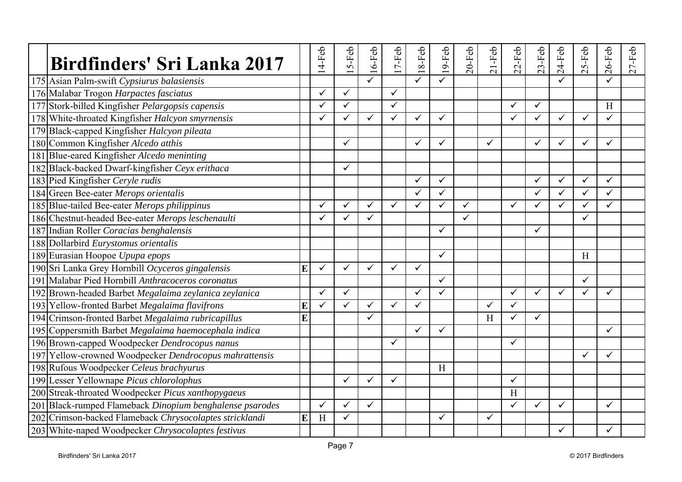| <b>Birdfinders' Sri Lanka 2017</b>                       |   | $14-Feb$     | $5-Feb$      | $16-Feb$     | $17-Feb$     | $18-Feb$     | $19-Feb$     | $20-Feb$ | $21-Feb$     | $22-Feb$     | $23-Feb$     | $24-Feb$     | $25-Feb$     | $26$ -Feb    | $27-Feb$ |
|----------------------------------------------------------|---|--------------|--------------|--------------|--------------|--------------|--------------|----------|--------------|--------------|--------------|--------------|--------------|--------------|----------|
| 175 Asian Palm-swift Cypsiurus balasiensis               |   |              |              |              |              | ✓            | ✓            |          |              |              |              |              |              |              |          |
| 176 Malabar Trogon Harpactes fasciatus                   |   | $\checkmark$ | $\checkmark$ |              | $\checkmark$ |              |              |          |              |              |              |              |              |              |          |
| 177 Stork-billed Kingfisher Pelargopsis capensis         |   | ✓            | $\checkmark$ |              | $\checkmark$ |              |              |          |              | ✓            | $\checkmark$ |              |              | H            |          |
| 178 White-throated Kingfisher Halcyon smyrnensis         |   | ✓            | $\checkmark$ | ✓            | $\checkmark$ | ✓            | $\checkmark$ |          |              | $\checkmark$ | $\checkmark$ | $\checkmark$ | ✓            | $\checkmark$ |          |
| 179 Black-capped Kingfisher Halcyon pileata              |   |              |              |              |              |              |              |          |              |              |              |              |              |              |          |
| 180 Common Kingfisher Alcedo atthis                      |   |              | ✓            |              |              | ✓            | $\checkmark$ |          | $\checkmark$ |              | $\checkmark$ | $\checkmark$ | $\checkmark$ | $\checkmark$ |          |
| 181 Blue-eared Kingfisher Alcedo meninting               |   |              |              |              |              |              |              |          |              |              |              |              |              |              |          |
| 182 Black-backed Dwarf-kingfisher Ceyx erithaca          |   |              | $\checkmark$ |              |              |              |              |          |              |              |              |              |              |              |          |
| 183 Pied Kingfisher Ceryle rudis                         |   |              |              |              |              | ✓            | $\checkmark$ |          |              |              | $\checkmark$ | ✓            | ✓            | $\checkmark$ |          |
| 184 Green Bee-eater Merops orientalis                    |   |              |              |              |              | ✓            | $\checkmark$ |          |              |              | $\checkmark$ | $\checkmark$ | ✓            | $\checkmark$ |          |
| 185 Blue-tailed Bee-eater Merops philippinus             |   | ✓            | $\checkmark$ | $\checkmark$ | $\checkmark$ | ✓            | $\checkmark$ | ✓        |              | $\checkmark$ | $\checkmark$ | ✓            | ✓            | $\checkmark$ |          |
| 186 Chestnut-headed Bee-eater Merops leschenaulti        |   |              | ✓            | ✓            |              |              |              |          |              |              |              |              | ✓            |              |          |
| 187 Indian Roller Coracias benghalensis                  |   |              |              |              |              |              | $\checkmark$ |          |              |              | $\checkmark$ |              |              |              |          |
| 188 Dollarbird Eurystomus orientalis                     |   |              |              |              |              |              |              |          |              |              |              |              |              |              |          |
| 189 Eurasian Hoopoe Upupa epops                          |   |              |              |              |              |              | $\checkmark$ |          |              |              |              |              | H            |              |          |
| 190 Sri Lanka Grey Hornbill Ocyceros gingalensis         | E | $\checkmark$ | $\checkmark$ | ✓            | $\checkmark$ | $\checkmark$ |              |          |              |              |              |              |              |              |          |
| 191 Malabar Pied Hornbill Anthracoceros coronatus        |   |              |              |              |              |              | $\checkmark$ |          |              |              |              |              | ✓            |              |          |
| 192 Brown-headed Barbet Megalaima zeylanica zeylanica    |   | ✓            | $\checkmark$ |              |              | $\checkmark$ | $\checkmark$ |          |              | $\checkmark$ | $\checkmark$ | ✓            | ✓            | ✓            |          |
| 193 Yellow-fronted Barbet Megalaima flavifrons           | E | $\checkmark$ | $\checkmark$ | ✓            | $\checkmark$ | $\checkmark$ |              |          |              | $\checkmark$ |              |              |              |              |          |
| 194 Crimson-fronted Barbet Megalaima rubricapillus       | E |              |              | ✓            |              |              |              |          | H            |              | $\checkmark$ |              |              |              |          |
| 195 Coppersmith Barbet Megalaima haemocephala indica     |   |              |              |              |              | ✓            | $\checkmark$ |          |              |              |              |              |              | ✓            |          |
| 196 Brown-capped Woodpecker Dendrocopus nanus            |   |              |              |              | $\checkmark$ |              |              |          |              | $\checkmark$ |              |              |              |              |          |
| 197 Yellow-crowned Woodpecker Dendrocopus mahrattensis   |   |              |              |              |              |              |              |          |              |              |              |              |              | ✓            |          |
| 198 Rufous Woodpecker Celeus brachyurus                  |   |              |              |              |              |              | H            |          |              |              |              |              |              |              |          |
| 199 Lesser Yellownape Picus chlorolophus                 |   |              | $\checkmark$ | ✓            | $\checkmark$ |              |              |          |              | $\checkmark$ |              |              |              |              |          |
| 200 Streak-throated Woodpecker Picus xanthopygaeus       |   |              |              |              |              |              |              |          |              | H            |              |              |              |              |          |
| 201 Black-rumped Flameback Dinopium benghalense psarodes |   | $\checkmark$ | $\checkmark$ | ✓            |              |              |              |          |              | $\checkmark$ | $\checkmark$ | ✓            |              | $\checkmark$ |          |
| 202 Crimson-backed Flameback Chrysocolaptes stricklandi  | E | H            | ✓            |              |              |              | ✓            |          | $\checkmark$ |              |              |              |              |              |          |
| 203 White-naped Woodpecker Chrysocolaptes festivus       |   |              |              |              |              |              |              |          |              |              |              | ✓            |              | ✓            |          |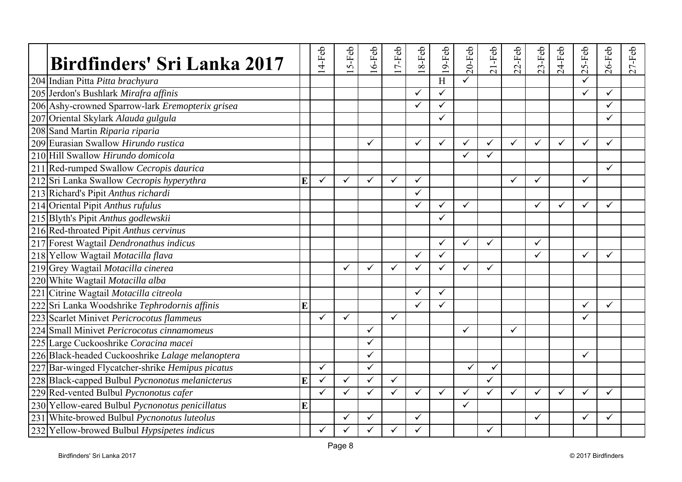| Birdfinders' Sri Lanka 2017                      |   | $14-Feb$     | $5-Feb$      | $16$ -Feb    | 7-Feb        | 8-Feb<br>$\overline{\phantom{0}}$ | $19$ -Feb               | $20-Feb$     | $21-Feb$     | $22-Feb$     | $23-Feb$     | $24-Feb$     | S-Feb<br>$\sim$ | $26$ -Feb    | $27-Feb$ |
|--------------------------------------------------|---|--------------|--------------|--------------|--------------|-----------------------------------|-------------------------|--------------|--------------|--------------|--------------|--------------|-----------------|--------------|----------|
| 204 Indian Pitta Pitta brachyura                 |   |              |              |              |              |                                   | H                       | ✓            |              |              |              |              |                 |              |          |
| 205 Jerdon's Bushlark Mirafra affinis            |   |              |              |              |              | $\checkmark$                      | $\overline{\checkmark}$ |              |              |              |              |              |                 | $\checkmark$ |          |
| 206 Ashy-crowned Sparrow-lark Eremopterix grisea |   |              |              |              |              | $\checkmark$                      | $\checkmark$            |              |              |              |              |              |                 | ✓            |          |
| 207 Oriental Skylark Alauda gulgula              |   |              |              |              |              |                                   | $\checkmark$            |              |              |              |              |              |                 | ✓            |          |
| 208 Sand Martin Riparia riparia                  |   |              |              |              |              |                                   |                         |              |              |              |              |              |                 |              |          |
| 209 Eurasian Swallow Hirundo rustica             |   |              |              | $\checkmark$ |              | $\checkmark$                      | $\checkmark$            | ✓            | ✓            | $\checkmark$ | ✓            | $\checkmark$ | $\checkmark$    | $\checkmark$ |          |
| 210 Hill Swallow Hirundo domicola                |   |              |              |              |              |                                   |                         | ✓            | $\checkmark$ |              |              |              |                 |              |          |
| 211 Red-rumped Swallow Cecropis daurica          |   |              |              |              |              |                                   |                         |              |              |              |              |              |                 | $\checkmark$ |          |
| 212 Sri Lanka Swallow Cecropis hyperythra        | E | $\checkmark$ | $\checkmark$ | $\checkmark$ | $\checkmark$ | $\checkmark$                      |                         |              |              | $\checkmark$ | $\checkmark$ |              | $\checkmark$    |              |          |
| 213 Richard's Pipit Anthus richardi              |   |              |              |              |              | $\checkmark$                      |                         |              |              |              |              |              |                 |              |          |
| 214 Oriental Pipit Anthus rufulus                |   |              |              |              |              | $\checkmark$                      | $\checkmark$            | ✓            |              |              | ✓            | $\checkmark$ | $\checkmark$    | ✓            |          |
| 215 Blyth's Pipit Anthus godlewskii              |   |              |              |              |              |                                   | ✓                       |              |              |              |              |              |                 |              |          |
| 216 Red-throated Pipit Anthus cervinus           |   |              |              |              |              |                                   |                         |              |              |              |              |              |                 |              |          |
| 217 Forest Wagtail Dendronathus indicus          |   |              |              |              |              |                                   | $\checkmark$            | $\checkmark$ | $\checkmark$ |              | $\checkmark$ |              |                 |              |          |
| 218 Yellow Wagtail Motacilla flava               |   |              |              |              |              | $\checkmark$                      | $\checkmark$            |              |              |              | ✓            |              | ✓               | ✓            |          |
| 219 Grey Wagtail Motacilla cinerea               |   |              | ✓            | $\checkmark$ | ✓            | $\checkmark$                      | $\checkmark$            | ✓            | $\checkmark$ |              |              |              |                 |              |          |
| 220 White Wagtail Motacilla alba                 |   |              |              |              |              |                                   |                         |              |              |              |              |              |                 |              |          |
| 221 Citrine Wagtail Motacilla citreola           |   |              |              |              |              | ✓                                 | $\checkmark$            |              |              |              |              |              |                 |              |          |
| 222 Sri Lanka Woodshrike Tephrodornis affinis    | E |              |              |              |              | $\checkmark$                      | $\checkmark$            |              |              |              |              |              | ✓               | ✓            |          |
| 223 Scarlet Minivet Pericrocotus flammeus        |   | ✓            | $\checkmark$ |              | $\checkmark$ |                                   |                         |              |              |              |              |              | ✓               |              |          |
| 224 Small Minivet Pericrocotus cinnamomeus       |   |              |              | $\checkmark$ |              |                                   |                         | $\checkmark$ |              | $\checkmark$ |              |              |                 |              |          |
| 225 Large Cuckooshrike Coracina macei            |   |              |              | $\checkmark$ |              |                                   |                         |              |              |              |              |              |                 |              |          |
| 226 Black-headed Cuckooshrike Lalage melanoptera |   |              |              |              |              |                                   |                         |              |              |              |              |              | ✓               |              |          |
| 227 Bar-winged Flycatcher-shrike Hemipus picatus |   | $\checkmark$ |              | $\checkmark$ |              |                                   |                         | ✓            | ✓            |              |              |              |                 |              |          |
| 228 Black-capped Bulbul Pycnonotus melanicterus  | E | $\checkmark$ | $\checkmark$ | $\checkmark$ | $\checkmark$ |                                   |                         |              | $\checkmark$ |              |              |              |                 |              |          |
| 229 Red-vented Bulbul Pycnonotus cafer           |   | ✓            | ✓            | ✓            | ✓            | $\checkmark$                      | ✓                       | ✓            |              | ✓            | ✓            | ✓            | ✓               | ✓            |          |
| 230 Yellow-eared Bulbul Pycnonotus penicillatus  | E |              |              |              |              |                                   |                         | ✓            |              |              |              |              |                 |              |          |
| 231 White-browed Bulbul Pycnonotus luteolus      |   |              | ✓            | ✓            |              | $\checkmark$                      |                         |              |              |              | ✓            |              |                 | ✓            |          |
| 232 Yellow-browed Bulbul Hypsipetes indicus      |   | ✓            | ✓            |              | ✓            | ✓                                 |                         |              | $\checkmark$ |              |              |              |                 |              |          |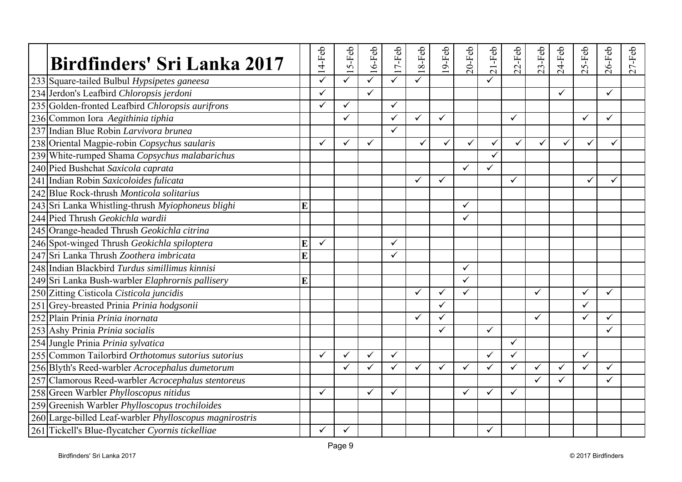| Birdfinders' Sri Lanka 2017                             |   | $14-Feb$             | $5-Feb$ | $16$ -Feb    | $17-Feb$     | 8-Feb<br>$\overline{\phantom{0}}$ | 9-Feb        | $20-Feb$     | $21-Feb$     | $22-Feb$     | $23-Feb$     | $24-Feb$     | 5-Feb<br>$\sim$ | $26$ -Feb | $27-Feb$ |
|---------------------------------------------------------|---|----------------------|---------|--------------|--------------|-----------------------------------|--------------|--------------|--------------|--------------|--------------|--------------|-----------------|-----------|----------|
| 233 Square-tailed Bulbul Hypsipetes ganeesa             |   |                      | ✓       |              | $\checkmark$ | $\checkmark$                      |              |              |              |              |              |              |                 |           |          |
| 234 Jerdon's Leafbird Chloropsis jerdoni                |   | $\tilde{\checkmark}$ |         | $\checkmark$ |              |                                   |              |              |              |              |              | ✓            |                 | ✓         |          |
| 235 Golden-fronted Leafbird Chloropsis aurifrons        |   | ✓                    | ✓       |              | ✓            |                                   |              |              |              |              |              |              |                 |           |          |
| 236 Common Iora Aegithinia tiphia                       |   |                      | ✓       |              | $\checkmark$ | $\checkmark$                      | $\checkmark$ |              |              | ✓            |              |              | ✓               | ✓         |          |
| 237 Indian Blue Robin Larvivora brunea                  |   |                      |         |              | $\checkmark$ |                                   |              |              |              |              |              |              |                 |           |          |
| 238 Oriental Magpie-robin Copsychus saularis            |   |                      | ✓       | $\checkmark$ |              | ✓                                 | ✓            | ✓            | $\checkmark$ | ✓            | ✓            | ✓            |                 |           |          |
| 239 White-rumped Shama Copsychus malabarichus           |   |                      |         |              |              |                                   |              |              | ✓            |              |              |              |                 |           |          |
| 240 Pied Bushchat Saxicola caprata                      |   |                      |         |              |              |                                   |              | ✓            | $\checkmark$ |              |              |              |                 |           |          |
| 241 Indian Robin Saxicoloides fulicata                  |   |                      |         |              |              | $\checkmark$                      | $\checkmark$ |              |              | $\checkmark$ |              |              |                 |           |          |
| 242 Blue Rock-thrush Monticola solitarius               |   |                      |         |              |              |                                   |              |              |              |              |              |              |                 |           |          |
| 243 Sri Lanka Whistling-thrush Myiophoneus blighi       | E |                      |         |              |              |                                   |              | $\checkmark$ |              |              |              |              |                 |           |          |
| 244 Pied Thrush Geokichla wardii                        |   |                      |         |              |              |                                   |              | ✓            |              |              |              |              |                 |           |          |
| 245 Orange-headed Thrush Geokichla citrina              |   |                      |         |              |              |                                   |              |              |              |              |              |              |                 |           |          |
| 246 Spot-winged Thrush Geokichla spiloptera             | E | $\checkmark$         |         |              | ✓            |                                   |              |              |              |              |              |              |                 |           |          |
| 247 Sri Lanka Thrush Zoothera imbricata                 | Ē |                      |         |              | ✓            |                                   |              |              |              |              |              |              |                 |           |          |
| 248 Indian Blackbird Turdus simillimus kinnisi          |   |                      |         |              |              |                                   |              | $\checkmark$ |              |              |              |              |                 |           |          |
| 249 Sri Lanka Bush-warbler Elaphrornis pallisery        | E |                      |         |              |              |                                   |              | ✓            |              |              |              |              |                 |           |          |
| 250 Zitting Cisticola Cisticola juncidis                |   |                      |         |              |              | $\checkmark$                      | $\checkmark$ | ✓            |              |              | ✓            |              | ✓               | ✓         |          |
| 251 Grey-breasted Prinia Prinia hodgsonii               |   |                      |         |              |              |                                   | $\checkmark$ |              |              |              |              |              | ✓               |           |          |
| 252 Plain Prinia Prinia inornata                        |   |                      |         |              |              | $\checkmark$                      | ✓            |              |              |              | $\checkmark$ |              | ✓               | ✓         |          |
| 253 Ashy Prinia Prinia socialis                         |   |                      |         |              |              |                                   | ✓            |              | $\checkmark$ |              |              |              |                 | ✓         |          |
| 254 Jungle Prinia Prinia sylvatica                      |   |                      |         |              |              |                                   |              |              |              | ✓            |              |              |                 |           |          |
| 255 Common Tailorbird Orthotomus sutorius sutorius      |   |                      | ✓       | $\checkmark$ | $\checkmark$ |                                   |              |              |              | ✓            |              |              | ✓               |           |          |
| 256 Blyth's Reed-warbler Acrocephalus dumetorum         |   |                      | ✓       |              | $\checkmark$ | $\checkmark$                      | $\checkmark$ | ✓            | $\checkmark$ | $\checkmark$ | ✓            | $\checkmark$ | $\checkmark$    | ✓         |          |
| 257 Clamorous Reed-warbler Acrocephalus stentoreus      |   |                      |         |              |              |                                   |              |              |              |              | $\checkmark$ | $\checkmark$ |                 | ✓         |          |
| 258 Green Warbler Phylloscopus nitidus                  |   | ✓                    |         | ✓            | ✓            |                                   |              | $\checkmark$ | ✓            | ✓            |              |              |                 |           |          |
| 259 Greenish Warbler Phylloscopus trochiloides          |   |                      |         |              |              |                                   |              |              |              |              |              |              |                 |           |          |
| 260 Large-billed Leaf-warbler Phylloscopus magnirostris |   |                      |         |              |              |                                   |              |              |              |              |              |              |                 |           |          |
| 261 Tickell's Blue-flycatcher Cyornis tickelliae        |   | ✓                    | ✓       |              |              |                                   |              |              | ✓            |              |              |              |                 |           |          |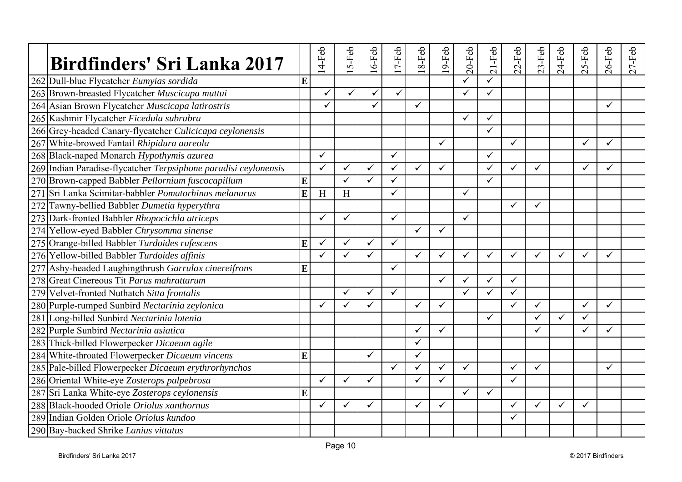| <b>Birdfinders' Sri Lanka 2017</b>                              |   | $4-Feb$      | $5-Feb$      | $16$ -Feb    | 7-Feb        | 8-Feb        | $9-Feb$      | $20$ -Feb    | $21-Feb$     | $22-Feb$     | $23-Feb$     | $24-Feb$ | 5-Feb        | $26$ -Feb    | $27-Feb$ |
|-----------------------------------------------------------------|---|--------------|--------------|--------------|--------------|--------------|--------------|--------------|--------------|--------------|--------------|----------|--------------|--------------|----------|
| 262 Dull-blue Flycatcher Eumyias sordida                        | E |              |              |              |              |              |              | ✓            |              |              |              |          |              |              |          |
| 263 Brown-breasted Flycatcher Muscicapa muttui                  |   | $\checkmark$ | $\checkmark$ | ✓            | $\checkmark$ |              |              |              | $\checkmark$ |              |              |          |              |              |          |
| 264 Asian Brown Flycatcher Muscicapa latirostris                |   | ✓            |              | ✓            |              | $\checkmark$ |              |              |              |              |              |          |              | ✓            |          |
| 265 Kashmir Flycatcher Ficedula subrubra                        |   |              |              |              |              |              |              | $\checkmark$ | ✓            |              |              |          |              |              |          |
| 266 Grey-headed Canary-flycatcher Culicicapa ceylonensis        |   |              |              |              |              |              |              |              | $\checkmark$ |              |              |          |              |              |          |
| 267 White-browed Fantail Rhipidura aureola                      |   |              |              |              |              |              | $\checkmark$ |              |              | ✓            |              |          | $\checkmark$ | ✓            |          |
| 268 Black-naped Monarch Hypothymis azurea                       |   | $\checkmark$ |              |              | $\checkmark$ |              |              |              | $\checkmark$ |              |              |          |              |              |          |
| 269 Indian Paradise-flycatcher Terpsiphone paradisi ceylonensis |   | ✓            | ✓            | $\checkmark$ | ✓            | $\checkmark$ | $\checkmark$ |              | ✓            | $\checkmark$ | $\checkmark$ |          | ✓            | ✓            |          |
| 270 Brown-capped Babbler Pellornium fuscocapillum               | E |              | ✓            |              | ✓            |              |              |              | $\checkmark$ |              |              |          |              |              |          |
| 271 Sri Lanka Scimitar-babbler Pomatorhinus melanurus           | E | H            | H            |              | ✓            |              |              | ✓            |              |              |              |          |              |              |          |
| 272 Tawny-bellied Babbler Dumetia hyperythra                    |   |              |              |              |              |              |              |              |              | ✓            | ✓            |          |              |              |          |
| 273 Dark-fronted Babbler Rhopocichla atriceps                   |   |              | ✓            |              | ✓            |              |              | ✓            |              |              |              |          |              |              |          |
| 274 Yellow-eyed Babbler Chrysomma sinense                       |   |              |              |              |              | $\checkmark$ | $\checkmark$ |              |              |              |              |          |              |              |          |
| 275 Orange-billed Babbler Turdoides rufescens                   | E | $\checkmark$ | ✓            | $\checkmark$ | $\checkmark$ |              |              |              |              |              |              |          |              |              |          |
| 276 Yellow-billed Babbler Turdoides affinis                     |   | ✓            | $\checkmark$ | $\checkmark$ |              | $\checkmark$ | $\checkmark$ | ✓            | $\checkmark$ | $\checkmark$ | $\checkmark$ | ✓        | ✓            | ✓            |          |
| 277 Ashy-headed Laughingthrush Garrulax cinereifrons            | E |              |              |              | ✓            |              |              |              |              |              |              |          |              |              |          |
| 278 Great Cinereous Tit Parus mahrattarum                       |   |              |              |              |              |              | $\checkmark$ |              | ✓            | ✓            |              |          |              |              |          |
| 279 Velvet-fronted Nuthatch Sitta frontalis                     |   |              | ✓            | $\checkmark$ | $\checkmark$ |              |              | ✓            | ✓            | ✓            |              |          |              |              |          |
| 280 Purple-rumped Sunbird Nectarinia zeylonica                  |   | ✓            | ✓            | $\checkmark$ |              | $\checkmark$ | $\checkmark$ |              |              | $\checkmark$ | $\checkmark$ |          | $\checkmark$ | $\checkmark$ |          |
| 281 Long-billed Sunbird Nectarinia lotenia                      |   |              |              |              |              |              |              |              | $\checkmark$ |              | ✓            | ✓        | ✓            |              |          |
| 282 Purple Sunbird Nectarinia asiatica                          |   |              |              |              |              | $\checkmark$ | $\checkmark$ |              |              |              | ✓            |          |              | ✓            |          |
| 283 Thick-billed Flowerpecker Dicaeum agile                     |   |              |              |              |              | $\checkmark$ |              |              |              |              |              |          |              |              |          |
| 284 White-throated Flowerpecker Dicaeum vincens                 | E |              |              | $\checkmark$ |              | ✓            |              |              |              |              |              |          |              |              |          |
| 285 Pale-billed Flowerpecker Dicaeum erythrorhynchos            |   |              |              |              | $\checkmark$ | $\checkmark$ | $\checkmark$ | $\checkmark$ |              | $\checkmark$ | $\checkmark$ |          |              | $\checkmark$ |          |
| 286 Oriental White-eye Zosterops palpebrosa                     |   | ✓            | ✓            | $\checkmark$ |              | $\checkmark$ | $\checkmark$ |              |              | $\checkmark$ |              |          |              |              |          |
| 287 Sri Lanka White-eye Zosterops ceylonensis                   | E |              |              |              |              |              |              | $\checkmark$ | ✓            |              |              |          |              |              |          |
| 288 Black-hooded Oriole Oriolus xanthornus                      |   |              | ✓            | ✓            |              | $\checkmark$ | $\checkmark$ |              |              | $\checkmark$ | ✓            | ✓        | $\checkmark$ |              |          |
| 289 Indian Golden Oriole Oriolus kundoo                         |   |              |              |              |              |              |              |              |              | ✓            |              |          |              |              |          |
| 290 Bay-backed Shrike Lanius vittatus                           |   |              |              |              |              |              |              |              |              |              |              |          |              |              |          |